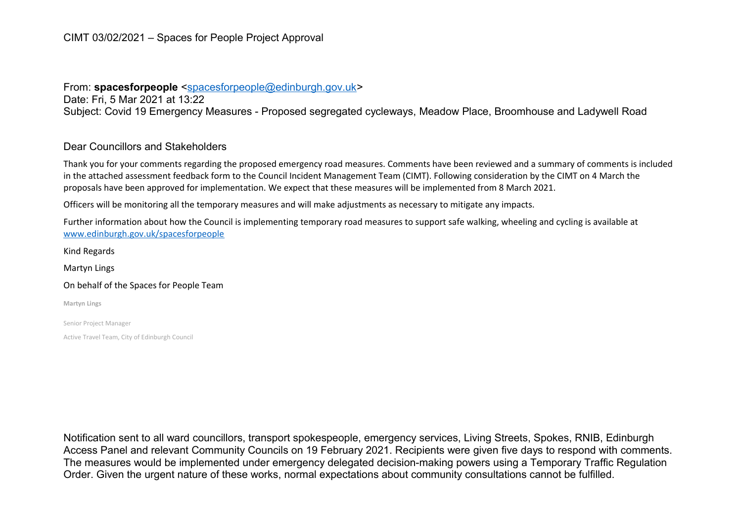## CIMT 03/02/2021 – Spaces for People Project Approval

## From: **spacesforpeople** [<spacesforpeople@edinburgh.gov.uk>](mailto:spacesforpeople@edinburgh.gov.uk)

Date: Fri, 5 Mar 2021 at 13:22 Subject: Covid 19 Emergency Measures - Proposed segregated cycleways, Meadow Place, Broomhouse and Ladywell Road

## Dear Councillors and Stakeholders

Thank you for your comments regarding the proposed emergency road measures. Comments have been reviewed and a summary of comments is included in the attached assessment feedback form to the Council Incident Management Team (CIMT). Following consideration by the CIMT on 4 March the proposals have been approved for implementation. We expect that these measures will be implemented from 8 March 2021.

Officers will be monitoring all the temporary measures and will make adjustments as necessary to mitigate any impacts.

Further information about how the Council is implementing temporary road measures to support safe walking, wheeling and cycling is available at [www.edinburgh.gov.uk/spacesforpeople](http://www.edinburgh.gov.uk/spacesforpeople)

Kind Regards

Martyn Lings

#### On behalf of the Spaces for People Team

**Martyn Lings**

Senior Project Manager

Active Travel Team, City of Edinburgh Council

Notification sent to all ward councillors, transport spokespeople, emergency services, Living Streets, Spokes, RNIB, Edinburgh Access Panel and relevant Community Councils on 19 February 2021. Recipients were given five days to respond with comments. The measures would be implemented under emergency delegated decision-making powers using a Temporary Traffic Regulation Order. Given the urgent nature of these works, normal expectations about community consultations cannot be fulfilled.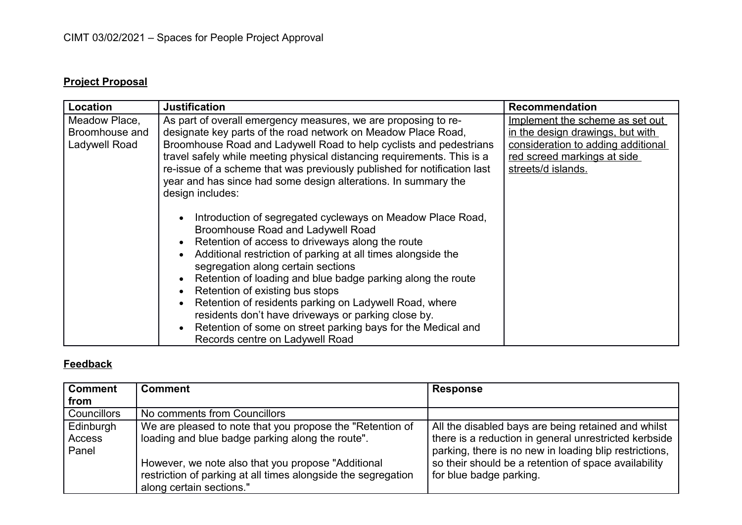# **Project Proposal**

| Location                                         | <b>Justification</b>                                                                                                                                                                                                                                                                                                                                                                                                                                                                                                                                                                                             | <b>Recommendation</b>                                                                                                                                          |
|--------------------------------------------------|------------------------------------------------------------------------------------------------------------------------------------------------------------------------------------------------------------------------------------------------------------------------------------------------------------------------------------------------------------------------------------------------------------------------------------------------------------------------------------------------------------------------------------------------------------------------------------------------------------------|----------------------------------------------------------------------------------------------------------------------------------------------------------------|
| Meadow Place,<br>Broomhouse and<br>Ladywell Road | As part of overall emergency measures, we are proposing to re-<br>designate key parts of the road network on Meadow Place Road,<br>Broomhouse Road and Ladywell Road to help cyclists and pedestrians<br>travel safely while meeting physical distancing requirements. This is a<br>re-issue of a scheme that was previously published for notification last<br>year and has since had some design alterations. In summary the<br>design includes:                                                                                                                                                               | Implement the scheme as set out<br>in the design drawings, but with<br>consideration to adding additional<br>red screed markings at side<br>streets/d islands. |
|                                                  | Introduction of segregated cycleways on Meadow Place Road,<br><b>Broomhouse Road and Ladywell Road</b><br>Retention of access to driveways along the route<br>Additional restriction of parking at all times alongside the<br>$\bullet$<br>segregation along certain sections<br>Retention of loading and blue badge parking along the route<br>Retention of existing bus stops<br>Retention of residents parking on Ladywell Road, where<br>residents don't have driveways or parking close by.<br>Retention of some on street parking bays for the Medical and<br>$\bullet$<br>Records centre on Ladywell Road |                                                                                                                                                                |

## **Feedback**

| Comment            | <b>Comment</b>                                                | <b>Response</b>                                        |
|--------------------|---------------------------------------------------------------|--------------------------------------------------------|
| from               |                                                               |                                                        |
| <b>Councillors</b> | No comments from Councillors                                  |                                                        |
| Edinburgh          | We are pleased to note that you propose the "Retention of     | All the disabled bays are being retained and whilst    |
| Access             | loading and blue badge parking along the route".              | there is a reduction in general unrestricted kerbside  |
| Panel              |                                                               | parking, there is no new in loading blip restrictions, |
|                    | However, we note also that you propose "Additional            | so their should be a retention of space availability   |
|                    | restriction of parking at all times alongside the segregation | for blue badge parking.                                |
|                    | along certain sections."                                      |                                                        |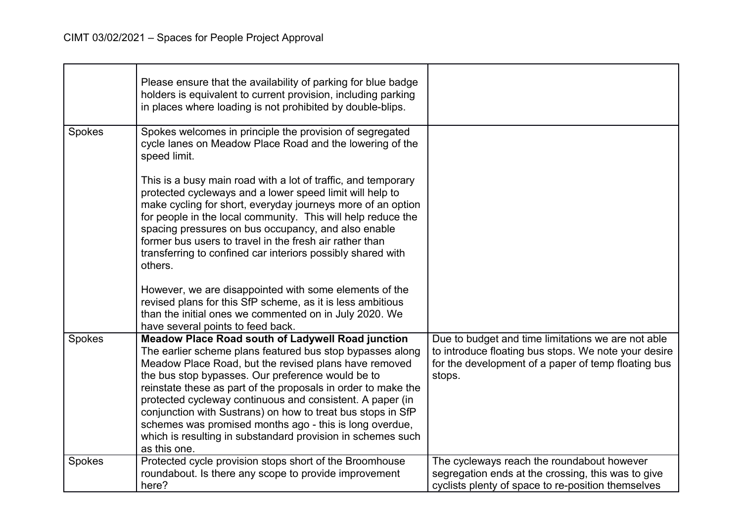|        | Please ensure that the availability of parking for blue badge<br>holders is equivalent to current provision, including parking<br>in places where loading is not prohibited by double-blips.                                                                                                                                                                                                                                                                                                                                                                               |                                                                                                                                                                             |
|--------|----------------------------------------------------------------------------------------------------------------------------------------------------------------------------------------------------------------------------------------------------------------------------------------------------------------------------------------------------------------------------------------------------------------------------------------------------------------------------------------------------------------------------------------------------------------------------|-----------------------------------------------------------------------------------------------------------------------------------------------------------------------------|
| Spokes | Spokes welcomes in principle the provision of segregated<br>cycle lanes on Meadow Place Road and the lowering of the<br>speed limit.                                                                                                                                                                                                                                                                                                                                                                                                                                       |                                                                                                                                                                             |
|        | This is a busy main road with a lot of traffic, and temporary<br>protected cycleways and a lower speed limit will help to<br>make cycling for short, everyday journeys more of an option<br>for people in the local community. This will help reduce the<br>spacing pressures on bus occupancy, and also enable<br>former bus users to travel in the fresh air rather than<br>transferring to confined car interiors possibly shared with<br>others.                                                                                                                       |                                                                                                                                                                             |
|        | However, we are disappointed with some elements of the<br>revised plans for this SfP scheme, as it is less ambitious<br>than the initial ones we commented on in July 2020. We<br>have several points to feed back.                                                                                                                                                                                                                                                                                                                                                        |                                                                                                                                                                             |
| Spokes | <b>Meadow Place Road south of Ladywell Road junction</b><br>The earlier scheme plans featured bus stop bypasses along<br>Meadow Place Road, but the revised plans have removed<br>the bus stop bypasses. Our preference would be to<br>reinstate these as part of the proposals in order to make the<br>protected cycleway continuous and consistent. A paper (in<br>conjunction with Sustrans) on how to treat bus stops in SfP<br>schemes was promised months ago - this is long overdue,<br>which is resulting in substandard provision in schemes such<br>as this one. | Due to budget and time limitations we are not able<br>to introduce floating bus stops. We note your desire<br>for the development of a paper of temp floating bus<br>stops. |
| Spokes | Protected cycle provision stops short of the Broomhouse<br>roundabout. Is there any scope to provide improvement<br>here?                                                                                                                                                                                                                                                                                                                                                                                                                                                  | The cycleways reach the roundabout however<br>segregation ends at the crossing, this was to give<br>cyclists plenty of space to re-position themselves                      |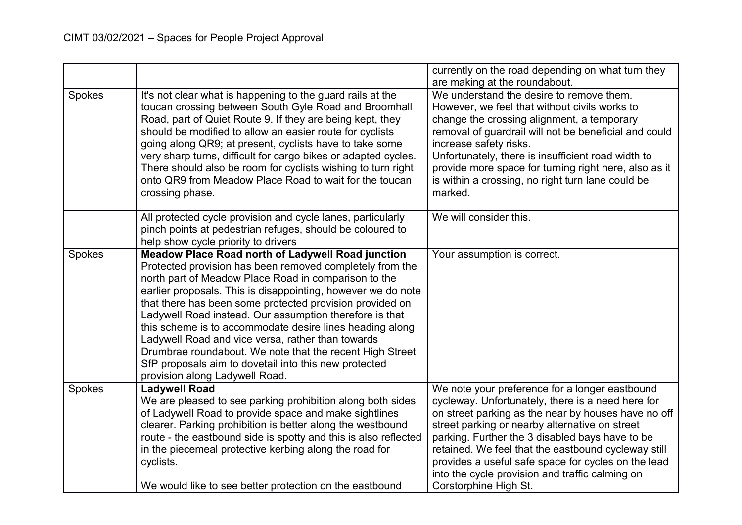|        |                                                                                                                                                                                                                                                                                                                                                                                                                                                                                                                                                                                                                                             | currently on the road depending on what turn they<br>are making at the roundabout.                                                                                                                                                                                                                                                                                                                                               |
|--------|---------------------------------------------------------------------------------------------------------------------------------------------------------------------------------------------------------------------------------------------------------------------------------------------------------------------------------------------------------------------------------------------------------------------------------------------------------------------------------------------------------------------------------------------------------------------------------------------------------------------------------------------|----------------------------------------------------------------------------------------------------------------------------------------------------------------------------------------------------------------------------------------------------------------------------------------------------------------------------------------------------------------------------------------------------------------------------------|
| Spokes | It's not clear what is happening to the guard rails at the<br>toucan crossing between South Gyle Road and Broomhall<br>Road, part of Quiet Route 9. If they are being kept, they<br>should be modified to allow an easier route for cyclists<br>going along QR9; at present, cyclists have to take some<br>very sharp turns, difficult for cargo bikes or adapted cycles.<br>There should also be room for cyclists wishing to turn right<br>onto QR9 from Meadow Place Road to wait for the toucan<br>crossing phase.                                                                                                                      | We understand the desire to remove them.<br>However, we feel that without civils works to<br>change the crossing alignment, a temporary<br>removal of guardrail will not be beneficial and could<br>increase safety risks.<br>Unfortunately, there is insufficient road width to<br>provide more space for turning right here, also as it<br>is within a crossing, no right turn lane could be<br>marked.                        |
|        | All protected cycle provision and cycle lanes, particularly<br>pinch points at pedestrian refuges, should be coloured to<br>help show cycle priority to drivers                                                                                                                                                                                                                                                                                                                                                                                                                                                                             | We will consider this.                                                                                                                                                                                                                                                                                                                                                                                                           |
| Spokes | <b>Meadow Place Road north of Ladywell Road junction</b><br>Protected provision has been removed completely from the<br>north part of Meadow Place Road in comparison to the<br>earlier proposals. This is disappointing, however we do note<br>that there has been some protected provision provided on<br>Ladywell Road instead. Our assumption therefore is that<br>this scheme is to accommodate desire lines heading along<br>Ladywell Road and vice versa, rather than towards<br>Drumbrae roundabout. We note that the recent High Street<br>SfP proposals aim to dovetail into this new protected<br>provision along Ladywell Road. | Your assumption is correct.                                                                                                                                                                                                                                                                                                                                                                                                      |
| Spokes | <b>Ladywell Road</b><br>We are pleased to see parking prohibition along both sides<br>of Ladywell Road to provide space and make sightlines<br>clearer. Parking prohibition is better along the westbound<br>route - the eastbound side is spotty and this is also reflected<br>in the piecemeal protective kerbing along the road for<br>cyclists.                                                                                                                                                                                                                                                                                         | We note your preference for a longer eastbound<br>cycleway. Unfortunately, there is a need here for<br>on street parking as the near by houses have no off<br>street parking or nearby alternative on street<br>parking. Further the 3 disabled bays have to be<br>retained. We feel that the eastbound cycleway still<br>provides a useful safe space for cycles on the lead<br>into the cycle provision and traffic calming on |
|        | We would like to see better protection on the eastbound                                                                                                                                                                                                                                                                                                                                                                                                                                                                                                                                                                                     | Corstorphine High St.                                                                                                                                                                                                                                                                                                                                                                                                            |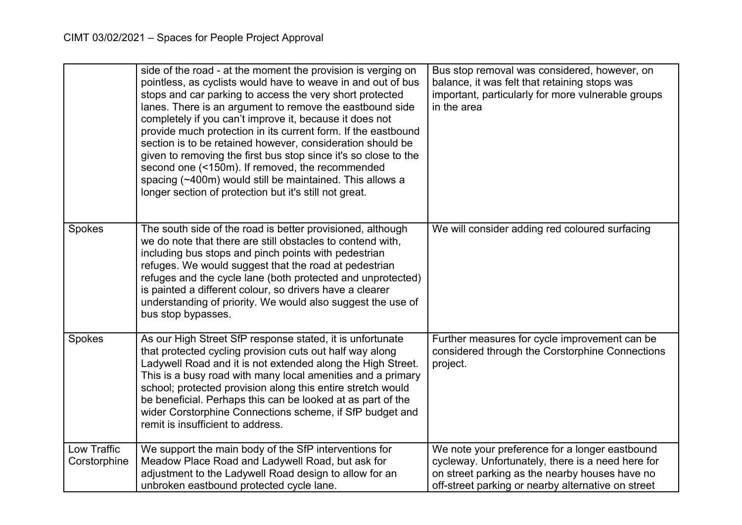|                             | side of the road - at the moment the provision is verging on<br>pointless, as cyclists would have to weave in and out of bus<br>stops and car parking to access the very short protected<br>lanes. There is an argument to remove the eastbound side<br>completely if you can't improve it, because it does not<br>provide much protection in its current form. If the eastbound<br>section is to be retained however, consideration should be<br>given to removing the first bus stop since it's so close to the<br>second one (<150m). If removed, the recommended<br>spacing (~400m) would still be maintained. This allows a<br>longer section of protection but it's still not great. | Bus stop removal was considered, however, on<br>balance, it was felt that retaining stops was<br>important, particularly for more vulnerable groups<br>in the area                                          |
|-----------------------------|--------------------------------------------------------------------------------------------------------------------------------------------------------------------------------------------------------------------------------------------------------------------------------------------------------------------------------------------------------------------------------------------------------------------------------------------------------------------------------------------------------------------------------------------------------------------------------------------------------------------------------------------------------------------------------------------|-------------------------------------------------------------------------------------------------------------------------------------------------------------------------------------------------------------|
| Spokes                      | The south side of the road is better provisioned, although<br>we do note that there are still obstacles to contend with,<br>including bus stops and pinch points with pedestrian<br>refuges. We would suggest that the road at pedestrian<br>refuges and the cycle lane (both protected and unprotected)<br>is painted a different colour, so drivers have a clearer<br>understanding of priority. We would also suggest the use of<br>bus stop bypasses.                                                                                                                                                                                                                                  | We will consider adding red coloured surfacing                                                                                                                                                              |
| Spokes                      | As our High Street SfP response stated, it is unfortunate<br>that protected cycling provision cuts out half way along<br>Ladywell Road and it is not extended along the High Street.<br>This is a busy road with many local amenities and a primary<br>school; protected provision along this entire stretch would<br>be beneficial. Perhaps this can be looked at as part of the<br>wider Corstorphine Connections scheme, if SfP budget and<br>remit is insufficient to address.                                                                                                                                                                                                         | Further measures for cycle improvement can be<br>considered through the Corstorphine Connections<br>project.                                                                                                |
| Low Traffic<br>Corstorphine | We support the main body of the SfP interventions for<br>Meadow Place Road and Ladywell Road, but ask for<br>adjustment to the Ladywell Road design to allow for an<br>unbroken eastbound protected cycle lane.                                                                                                                                                                                                                                                                                                                                                                                                                                                                            | We note your preference for a longer eastbound<br>cycleway. Unfortunately, there is a need here for<br>on street parking as the nearby houses have no<br>off-street parking or nearby alternative on street |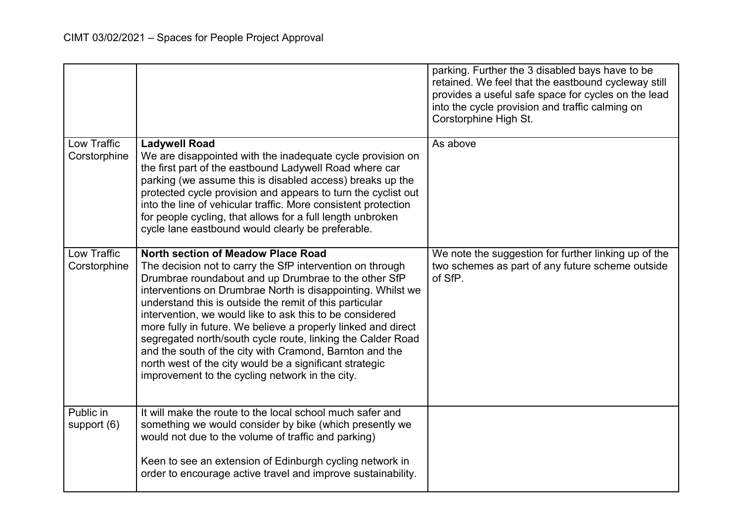|                             |                                                                                                                                                                                                                                                                                                                                                                                                                                                                                                                                                                                                                                                               | parking. Further the 3 disabled bays have to be<br>retained. We feel that the eastbound cycleway still<br>provides a useful safe space for cycles on the lead<br>into the cycle provision and traffic calming on<br>Corstorphine High St. |
|-----------------------------|---------------------------------------------------------------------------------------------------------------------------------------------------------------------------------------------------------------------------------------------------------------------------------------------------------------------------------------------------------------------------------------------------------------------------------------------------------------------------------------------------------------------------------------------------------------------------------------------------------------------------------------------------------------|-------------------------------------------------------------------------------------------------------------------------------------------------------------------------------------------------------------------------------------------|
| Low Traffic<br>Corstorphine | <b>Ladywell Road</b><br>We are disappointed with the inadequate cycle provision on<br>the first part of the eastbound Ladywell Road where car<br>parking (we assume this is disabled access) breaks up the<br>protected cycle provision and appears to turn the cyclist out<br>into the line of vehicular traffic. More consistent protection<br>for people cycling, that allows for a full length unbroken<br>cycle lane eastbound would clearly be preferable.                                                                                                                                                                                              | As above                                                                                                                                                                                                                                  |
| Low Traffic<br>Corstorphine | <b>North section of Meadow Place Road</b><br>The decision not to carry the SfP intervention on through<br>Drumbrae roundabout and up Drumbrae to the other SfP<br>interventions on Drumbrae North is disappointing. Whilst we<br>understand this is outside the remit of this particular<br>intervention, we would like to ask this to be considered<br>more fully in future. We believe a properly linked and direct<br>segregated north/south cycle route, linking the Calder Road<br>and the south of the city with Cramond, Barnton and the<br>north west of the city would be a significant strategic<br>improvement to the cycling network in the city. | We note the suggestion for further linking up of the<br>two schemes as part of any future scheme outside<br>of SfP.                                                                                                                       |
| Public in<br>support $(6)$  | It will make the route to the local school much safer and<br>something we would consider by bike (which presently we<br>would not due to the volume of traffic and parking)<br>Keen to see an extension of Edinburgh cycling network in<br>order to encourage active travel and improve sustainability.                                                                                                                                                                                                                                                                                                                                                       |                                                                                                                                                                                                                                           |